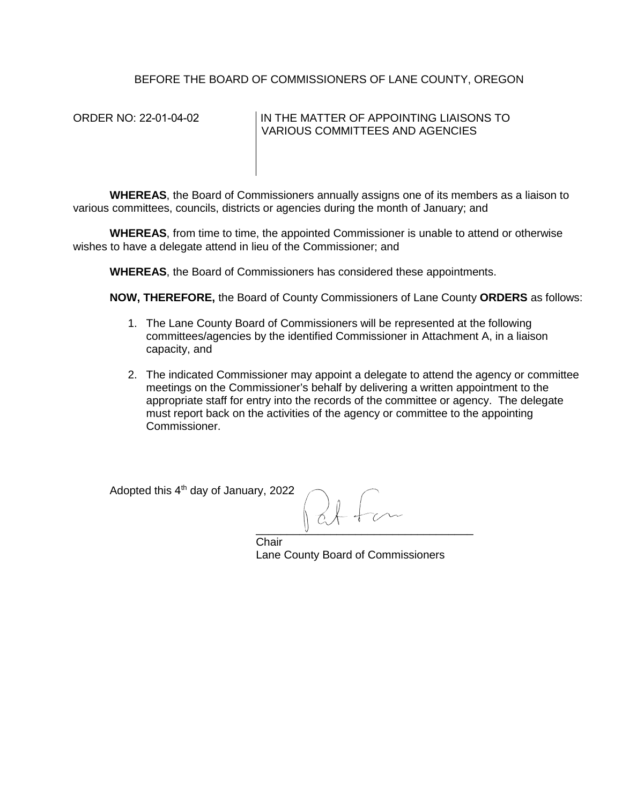## BEFORE THE BOARD OF COMMISSIONERS OF LANE COUNTY, OREGON

## ORDER NO: 22-01-04-02 IN THE MATTER OF APPOINTING LIAISONS TO VARIOUS COMMITTEES AND AGENCIES

**WHEREAS**, the Board of Commissioners annually assigns one of its members as a liaison to various committees, councils, districts or agencies during the month of January; and

**WHEREAS**, from time to time, the appointed Commissioner is unable to attend or otherwise wishes to have a delegate attend in lieu of the Commissioner; and

**WHEREAS**, the Board of Commissioners has considered these appointments.

**NOW, THEREFORE,** the Board of County Commissioners of Lane County **ORDERS** as follows:

- 1. The Lane County Board of Commissioners will be represented at the following committees/agencies by the identified Commissioner in Attachment A, in a liaison capacity, and
- 2. The indicated Commissioner may appoint a delegate to attend the agency or committee meetings on the Commissioner's behalf by delivering a written appointment to the appropriate staff for entry into the records of the committee or agency. The delegate must report back on the activities of the agency or committee to the appointing Commissioner.

Adopted this 4<sup>th</sup> day of January, 2022

 $\mathsf{U}$  , which is a set of the set of the set of the set of the set of the set of the set of the set of the set of the set of the set of the set of the set of the set of the set of the set of the set of the set of the s

**Chair** Lane County Board of Commissioners